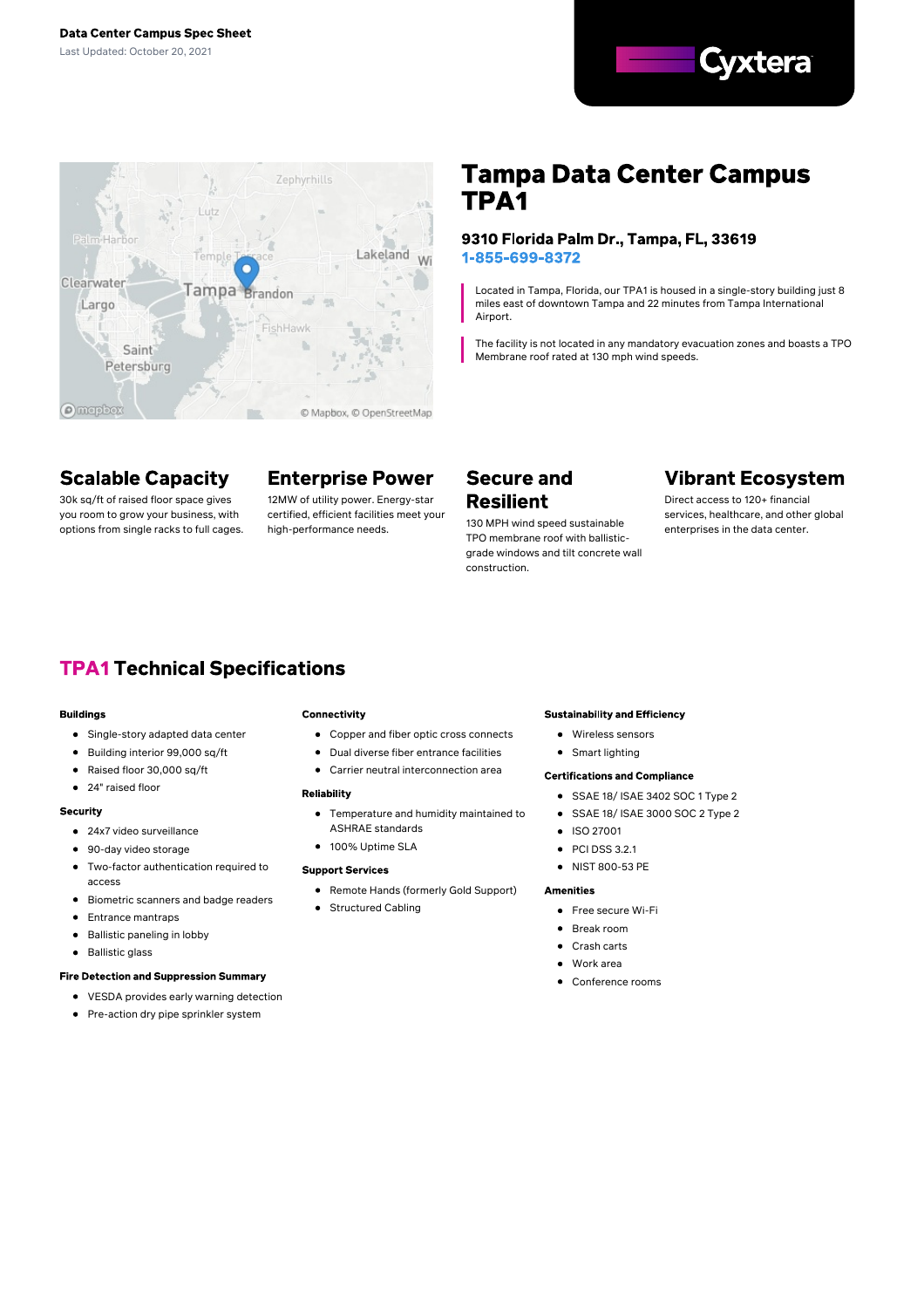



# **Scalable Capacity**

30k sq/ft of raised floor space gives you room to grow your business, with options from single racks to full cages.

# **Enterprise Power**

12MW of utility power. Energy-star certified, efficient facilities meet your high-performance needs.

# **Tampa Data Center Campus** TPA<sub>1</sub>

### 9310 Florida Palm Dr., Tampa, FL, 33619 1-855-699-8372

Located in Tampa, Florida, our TPA1 is housed in a single-story building just 8 miles east of downtown Tampa and 22 minutes from Tampa International Airport.

The facility is not located in any mandatory evacuation zones and boasts a TPO Membrane roof rated at 130 mph wind speeds.

# **Secure and Resilient**

130 MPH wind speed sustainable TPO membrane roof with ballisticgrade windows and tilt concrete wall construction.

# **Vibrant Ecosystem**

Direct access to 120+ financial services, healthcare, and other global enterprises in the data center.

# **TPA1 Technical Specifications**

#### **Buildings**

- Single-story adapted data center
- $\bullet$ Building interior 99,000 sq/ft
- $\bullet$ Raised floor 30,000 sq/ft
- $\bullet$ 24" raised floor

#### **Security**

- 24x7 video surveillance
- 90-day video storage
- $\blacksquare$ Two-factor authentication required to access
- Biometric scanners and badge readers  $\bullet$
- Entrance mantraps  $\bullet$
- Ballistic paneling in lobby  $\bullet$
- Ballistic glass  $\bullet$

### **Fire Detection and Suppression Summary**

- VESDA provides early warning detection
- Pre-action dry pipe sprinkler system

#### Connectivity

- Copper and fiber optic cross connects
- Dual diverse fiber entrance facilities
- Carrier neutral interconnection area

#### **Reliability**

- Temperature and humidity maintained to ASHRAE standards
- 100% Uptime SLA

• Structured Cabling

### **Support Services**

Remote Hands (formerly Gold Support)

## **Sustainability and Efficiency**

- Wireless sensors
- Smart lighting

### **Certifications and Compliance**

- SSAE 18/ ISAE 3402 SOC 1 Type 2
- SSAE 18/ ISAE 3000 SOC 2 Type 2  $\bullet$
- $\bullet$ ISO 27001
- **PCLDSS 3.2.1**  $\bullet$
- NIST 800-53 PE

### **Amenities**

- Free secure Wi-Fi
- Break room
- Crash carts
- Work area
- Conference rooms